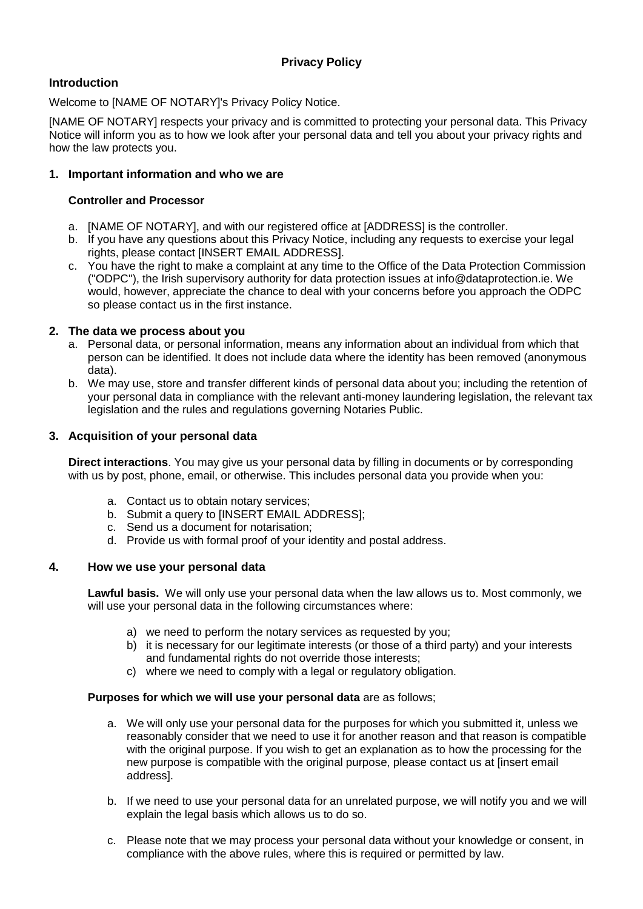# **Introduction**

Welcome to [NAME OF NOTARY]'s Privacy Policy Notice.

[NAME OF NOTARY] respects your privacy and is committed to protecting your personal data. This Privacy Notice will inform you as to how we look after your personal data and tell you about your privacy rights and how the law protects you.

### **1. Important information and who we are**

### **Controller and Processor**

- a. [NAME OF NOTARY], and with our registered office at [ADDRESS] is the controller.
- b. If you have any questions about this Privacy Notice, including any requests to exercise your legal rights, please contact [INSERT EMAIL ADDRESS].
- c. You have the right to make a complaint at any time to the Office of the Data Protection Commission ("ODPC"), the Irish supervisory authority for data protection issues at info@dataprotection.ie. We would, however, appreciate the chance to deal with your concerns before you approach the ODPC so please contact us in the first instance.

### **2. The data we process about you**

- a. Personal data, or personal information, means any information about an individual from which that person can be identified. It does not include data where the identity has been removed (anonymous data).
- b. We may use, store and transfer different kinds of personal data about you; including the retention of your personal data in compliance with the relevant anti-money laundering legislation, the relevant tax legislation and the rules and regulations governing Notaries Public.

### **3. Acquisition of your personal data**

**Direct interactions**. You may give us your personal data by filling in documents or by corresponding with us by post, phone, email, or otherwise. This includes personal data you provide when you:

- a. Contact us to obtain notary services;
- b. Submit a query to [INSERT EMAIL ADDRESS];
- c. Send us a document for notarisation;
- d. Provide us with formal proof of your identity and postal address.

#### **4. How we use your personal data**

**Lawful basis.** We will only use your personal data when the law allows us to. Most commonly, we will use your personal data in the following circumstances where:

- a) we need to perform the notary services as requested by you;
- b) it is necessary for our legitimate interests (or those of a third party) and your interests and fundamental rights do not override those interests;
- c) where we need to comply with a legal or regulatory obligation.

#### **Purposes for which we will use your personal data** are as follows;

- a. We will only use your personal data for the purposes for which you submitted it, unless we reasonably consider that we need to use it for another reason and that reason is compatible with the original purpose. If you wish to get an explanation as to how the processing for the new purpose is compatible with the original purpose, please contact us at [insert email address].
- b. If we need to use your personal data for an unrelated purpose, we will notify you and we will explain the legal basis which allows us to do so.
- c. Please note that we may process your personal data without your knowledge or consent, in compliance with the above rules, where this is required or permitted by law.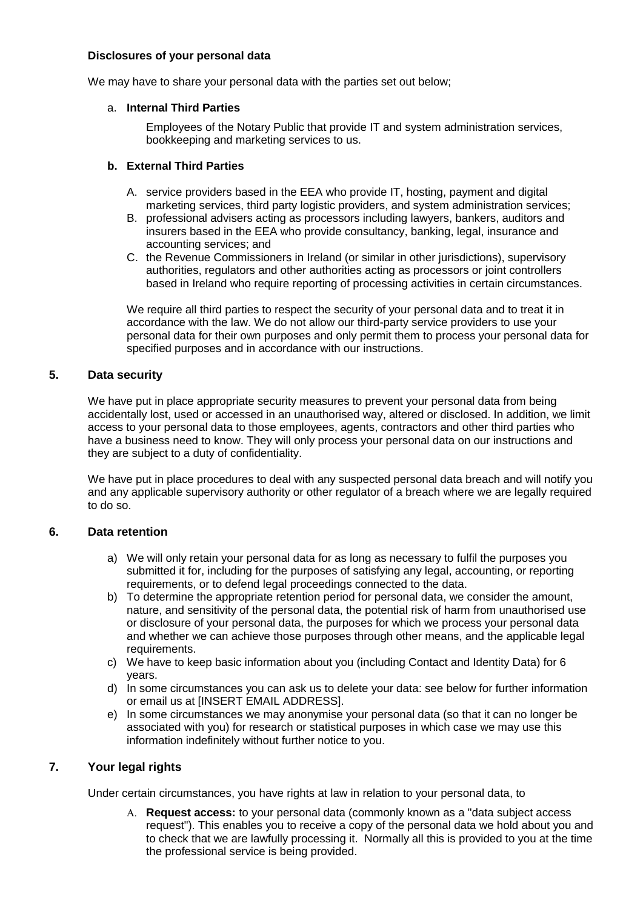### **Disclosures of your personal data**

We may have to share your personal data with the parties set out below;

#### a. **Internal Third Parties**

Employees of the Notary Public that provide IT and system administration services, bookkeeping and marketing services to us.

#### **b. External Third Parties**

- A. service providers based in the EEA who provide IT, hosting, payment and digital marketing services, third party logistic providers, and system administration services;
- B. professional advisers acting as processors including lawyers, bankers, auditors and insurers based in the EEA who provide consultancy, banking, legal, insurance and accounting services; and
- C. the Revenue Commissioners in Ireland (or similar in other jurisdictions), supervisory authorities, regulators and other authorities acting as processors or joint controllers based in Ireland who require reporting of processing activities in certain circumstances.

We require all third parties to respect the security of your personal data and to treat it in accordance with the law. We do not allow our third-party service providers to use your personal data for their own purposes and only permit them to process your personal data for specified purposes and in accordance with our instructions.

### **5. Data security**

We have put in place appropriate security measures to prevent your personal data from being accidentally lost, used or accessed in an unauthorised way, altered or disclosed. In addition, we limit access to your personal data to those employees, agents, contractors and other third parties who have a business need to know. They will only process your personal data on our instructions and they are subject to a duty of confidentiality.

We have put in place procedures to deal with any suspected personal data breach and will notify you and any applicable supervisory authority or other regulator of a breach where we are legally required to do so.

#### **6. Data retention**

- a) We will only retain your personal data for as long as necessary to fulfil the purposes you submitted it for, including for the purposes of satisfying any legal, accounting, or reporting requirements, or to defend legal proceedings connected to the data.
- b) To determine the appropriate retention period for personal data, we consider the amount, nature, and sensitivity of the personal data, the potential risk of harm from unauthorised use or disclosure of your personal data, the purposes for which we process your personal data and whether we can achieve those purposes through other means, and the applicable legal requirements.
- c) We have to keep basic information about you (including Contact and Identity Data) for 6 years.
- d) In some circumstances you can ask us to delete your data: see below for further information or email us at [INSERT EMAIL ADDRESS].
- e) In some circumstances we may anonymise your personal data (so that it can no longer be associated with you) for research or statistical purposes in which case we may use this information indefinitely without further notice to you.

## **7. Your legal rights**

Under certain circumstances, you have rights at law in relation to your personal data, to

A. **Request access:** to your personal data (commonly known as a "data subject access request"). This enables you to receive a copy of the personal data we hold about you and to check that we are lawfully processing it. Normally all this is provided to you at the time the professional service is being provided.